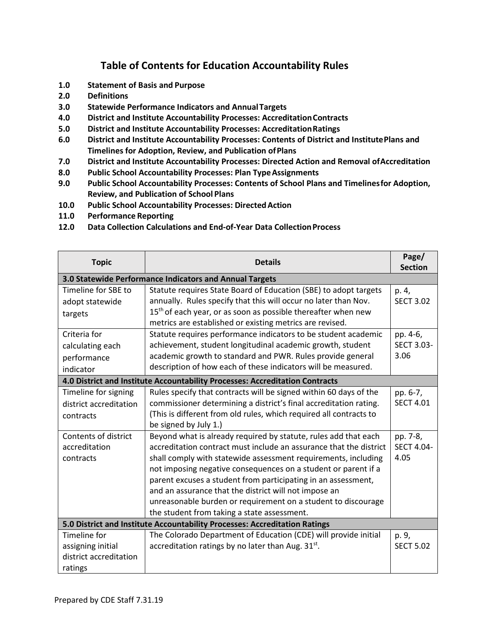## **Table of Contents for Education Accountability Rules**

- **1.0 Statement of Basis and Purpose**
- **2.0 Definitions**
- **3.0 Statewide Performance Indicators and AnnualTargets**
- **4.0 District and Institute Accountability Processes: AccreditationContracts**
- **5.0 District and Institute Accountability Processes: AccreditationRatings**
- **6.0 District and Institute Accountability Processes: Contents of District and InstitutePlans and Timelines for Adoption, Review, and Publication ofPlans**
- **7.0 District and Institute Accountability Processes: Directed Action and Removal ofAccreditation**
- **8.0 Public School Accountability Processes: Plan TypeAssignments**
- **9.0 Public School Accountability Processes: Contents of School Plans and Timelinesfor Adoption, Review, and Publication of School Plans**
- **10.0 Public School Accountability Processes: DirectedAction**
- **11.0 Performance Reporting**
- **12.0 Data Collection Calculations and End-of-Year Data CollectionProcess**

| <b>Topic</b>                                                               | <b>Details</b>                                                               | Page/<br><b>Section</b> |  |
|----------------------------------------------------------------------------|------------------------------------------------------------------------------|-------------------------|--|
| 3.0 Statewide Performance Indicators and Annual Targets                    |                                                                              |                         |  |
| Timeline for SBE to                                                        | Statute requires State Board of Education (SBE) to adopt targets             | p. 4,                   |  |
| adopt statewide                                                            | annually. Rules specify that this will occur no later than Nov.              | <b>SECT 3.02</b>        |  |
| targets                                                                    | 15 <sup>th</sup> of each year, or as soon as possible thereafter when new    |                         |  |
|                                                                            | metrics are established or existing metrics are revised.                     |                         |  |
| Criteria for                                                               | Statute requires performance indicators to be student academic               | pp. 4-6,                |  |
| calculating each                                                           | achievement, student longitudinal academic growth, student                   | <b>SECT 3.03-</b>       |  |
| performance                                                                | academic growth to standard and PWR. Rules provide general                   | 3.06                    |  |
| indicator                                                                  | description of how each of these indicators will be measured.                |                         |  |
|                                                                            | 4.0 District and Institute Accountability Processes: Accreditation Contracts |                         |  |
| Timeline for signing                                                       | Rules specify that contracts will be signed within 60 days of the            | pp. 6-7,                |  |
| district accreditation                                                     | commissioner determining a district's final accreditation rating.            | <b>SECT 4.01</b>        |  |
| contracts                                                                  | (This is different from old rules, which required all contracts to           |                         |  |
|                                                                            | be signed by July 1.)                                                        |                         |  |
| Contents of district                                                       | Beyond what is already required by statute, rules add that each              | pp. 7-8,                |  |
| accreditation                                                              | accreditation contract must include an assurance that the district           | <b>SECT 4.04-</b>       |  |
| contracts                                                                  | shall comply with statewide assessment requirements, including               | 4.05                    |  |
|                                                                            | not imposing negative consequences on a student or parent if a               |                         |  |
|                                                                            | parent excuses a student from participating in an assessment,                |                         |  |
|                                                                            | and an assurance that the district will not impose an                        |                         |  |
|                                                                            | unreasonable burden or requirement on a student to discourage                |                         |  |
|                                                                            | the student from taking a state assessment.                                  |                         |  |
| 5.0 District and Institute Accountability Processes: Accreditation Ratings |                                                                              |                         |  |
| Timeline for                                                               | The Colorado Department of Education (CDE) will provide initial              | p. 9,                   |  |
| assigning initial                                                          | accreditation ratings by no later than Aug. 31 <sup>st</sup> .               | <b>SECT 5.02</b>        |  |
| district accreditation                                                     |                                                                              |                         |  |
| ratings                                                                    |                                                                              |                         |  |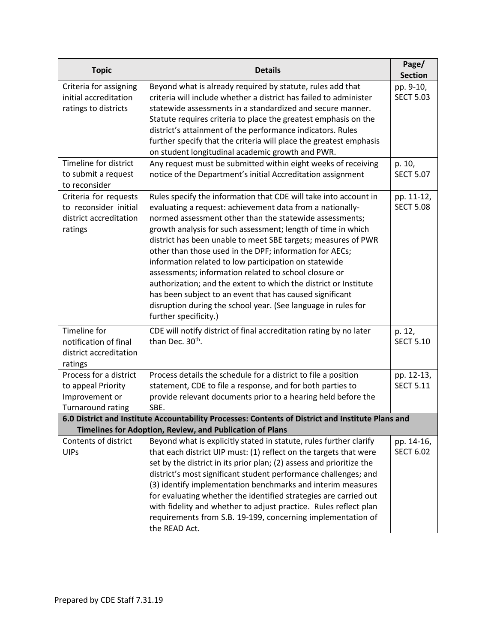| <b>Topic</b>                                                                                                                                                  | <b>Details</b>                                                                                                                                                                                                                                                                                                                                                                                                                                                                                                                                                                                                                                                                                                                   | Page/<br><b>Section</b>        |  |  |
|---------------------------------------------------------------------------------------------------------------------------------------------------------------|----------------------------------------------------------------------------------------------------------------------------------------------------------------------------------------------------------------------------------------------------------------------------------------------------------------------------------------------------------------------------------------------------------------------------------------------------------------------------------------------------------------------------------------------------------------------------------------------------------------------------------------------------------------------------------------------------------------------------------|--------------------------------|--|--|
| Criteria for assigning<br>initial accreditation<br>ratings to districts                                                                                       | Beyond what is already required by statute, rules add that<br>criteria will include whether a district has failed to administer<br>statewide assessments in a standardized and secure manner.<br>Statute requires criteria to place the greatest emphasis on the<br>district's attainment of the performance indicators. Rules<br>further specify that the criteria will place the greatest emphasis<br>on student longitudinal academic growth and PWR.                                                                                                                                                                                                                                                                         | pp. 9-10,<br><b>SECT 5.03</b>  |  |  |
| Timeline for district<br>to submit a request<br>to reconsider                                                                                                 | Any request must be submitted within eight weeks of receiving<br>notice of the Department's initial Accreditation assignment                                                                                                                                                                                                                                                                                                                                                                                                                                                                                                                                                                                                     | p. 10,<br><b>SECT 5.07</b>     |  |  |
| Criteria for requests<br>to reconsider initial<br>district accreditation<br>ratings                                                                           | Rules specify the information that CDE will take into account in<br>evaluating a request: achievement data from a nationally-<br>normed assessment other than the statewide assessments;<br>growth analysis for such assessment; length of time in which<br>district has been unable to meet SBE targets; measures of PWR<br>other than those used in the DPF; information for AECs;<br>information related to low participation on statewide<br>assessments; information related to school closure or<br>authorization; and the extent to which the district or Institute<br>has been subject to an event that has caused significant<br>disruption during the school year. (See language in rules for<br>further specificity.) | pp. 11-12,<br><b>SECT 5.08</b> |  |  |
| Timeline for<br>notification of final<br>district accreditation<br>ratings                                                                                    | CDE will notify district of final accreditation rating by no later<br>than Dec. 30 <sup>th</sup> .                                                                                                                                                                                                                                                                                                                                                                                                                                                                                                                                                                                                                               | p. 12,<br><b>SECT 5.10</b>     |  |  |
| Process for a district<br>to appeal Priority<br>Improvement or<br><b>Turnaround rating</b>                                                                    | Process details the schedule for a district to file a position<br>statement, CDE to file a response, and for both parties to<br>provide relevant documents prior to a hearing held before the<br>SBE.                                                                                                                                                                                                                                                                                                                                                                                                                                                                                                                            | pp. 12-13,<br><b>SECT 5.11</b> |  |  |
| 6.0 District and Institute Accountability Processes: Contents of District and Institute Plans and<br>Timelines for Adoption, Review, and Publication of Plans |                                                                                                                                                                                                                                                                                                                                                                                                                                                                                                                                                                                                                                                                                                                                  |                                |  |  |
| Contents of district<br><b>UIPs</b>                                                                                                                           | Beyond what is explicitly stated in statute, rules further clarify<br>that each district UIP must: (1) reflect on the targets that were<br>set by the district in its prior plan; (2) assess and prioritize the<br>district's most significant student performance challenges; and<br>(3) identify implementation benchmarks and interim measures<br>for evaluating whether the identified strategies are carried out<br>with fidelity and whether to adjust practice. Rules reflect plan<br>requirements from S.B. 19-199, concerning implementation of<br>the READ Act.                                                                                                                                                        | pp. 14-16,<br><b>SECT 6.02</b> |  |  |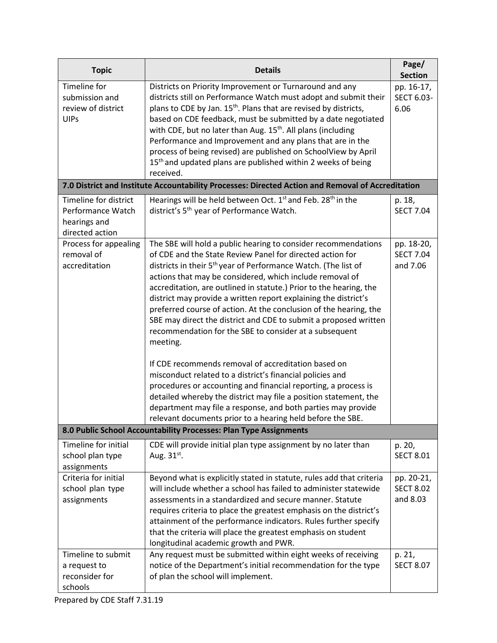| <b>Topic</b>                                                                  | <b>Details</b>                                                                                                                                                                                                                                                                                                                                                                                                                                                                                                                                                                                                                                                                                                                                                                                                                                                                                                                                                                                                        | Page/<br><b>Section</b>                              |
|-------------------------------------------------------------------------------|-----------------------------------------------------------------------------------------------------------------------------------------------------------------------------------------------------------------------------------------------------------------------------------------------------------------------------------------------------------------------------------------------------------------------------------------------------------------------------------------------------------------------------------------------------------------------------------------------------------------------------------------------------------------------------------------------------------------------------------------------------------------------------------------------------------------------------------------------------------------------------------------------------------------------------------------------------------------------------------------------------------------------|------------------------------------------------------|
| Timeline for<br>submission and<br>review of district<br><b>UIPs</b>           | Districts on Priority Improvement or Turnaround and any<br>districts still on Performance Watch must adopt and submit their<br>plans to CDE by Jan. 15 <sup>th</sup> . Plans that are revised by districts,<br>based on CDE feedback, must be submitted by a date negotiated<br>with CDE, but no later than Aug. 15 <sup>th</sup> . All plans (including<br>Performance and Improvement and any plans that are in the<br>process of being revised) are published on SchoolView by April<br>15 <sup>th</sup> and updated plans are published within 2 weeks of being<br>received.                                                                                                                                                                                                                                                                                                                                                                                                                                      | pp. 16-17,<br>SECT 6.03-<br>6.06                     |
|                                                                               | 7.0 District and Institute Accountability Processes: Directed Action and Removal of Accreditation                                                                                                                                                                                                                                                                                                                                                                                                                                                                                                                                                                                                                                                                                                                                                                                                                                                                                                                     |                                                      |
| Timeline for district<br>Performance Watch<br>hearings and<br>directed action | Hearings will be held between Oct. 1 <sup>st</sup> and Feb. 28 <sup>th</sup> in the<br>district's 5 <sup>th</sup> year of Performance Watch.                                                                                                                                                                                                                                                                                                                                                                                                                                                                                                                                                                                                                                                                                                                                                                                                                                                                          | p. 18,<br><b>SECT 7.04</b>                           |
| Process for appealing<br>removal of<br>accreditation                          | The SBE will hold a public hearing to consider recommendations<br>of CDE and the State Review Panel for directed action for<br>districts in their 5 <sup>th</sup> year of Performance Watch. (The list of<br>actions that may be considered, which include removal of<br>accreditation, are outlined in statute.) Prior to the hearing, the<br>district may provide a written report explaining the district's<br>preferred course of action. At the conclusion of the hearing, the<br>SBE may direct the district and CDE to submit a proposed written<br>recommendation for the SBE to consider at a subsequent<br>meeting.<br>If CDE recommends removal of accreditation based on<br>misconduct related to a district's financial policies and<br>procedures or accounting and financial reporting, a process is<br>detailed whereby the district may file a position statement, the<br>department may file a response, and both parties may provide<br>relevant documents prior to a hearing held before the SBE. | pp. 18-20,<br><b>SECT 7.04</b><br>and 7.06           |
|                                                                               | 8.0 Public School Accountability Processes: Plan Type Assignments                                                                                                                                                                                                                                                                                                                                                                                                                                                                                                                                                                                                                                                                                                                                                                                                                                                                                                                                                     |                                                      |
| Timeline for initial<br>school plan type<br>assignments                       | CDE will provide initial plan type assignment by no later than<br>Aug. 31 <sup>st</sup> .                                                                                                                                                                                                                                                                                                                                                                                                                                                                                                                                                                                                                                                                                                                                                                                                                                                                                                                             | p. 20,<br><b>SECT 8.01</b>                           |
| Criteria for initial<br>school plan type<br>assignments<br>Timeline to submit | Beyond what is explicitly stated in statute, rules add that criteria<br>will include whether a school has failed to administer statewide<br>assessments in a standardized and secure manner. Statute<br>requires criteria to place the greatest emphasis on the district's<br>attainment of the performance indicators. Rules further specify<br>that the criteria will place the greatest emphasis on student<br>longitudinal academic growth and PWR.<br>Any request must be submitted within eight weeks of receiving                                                                                                                                                                                                                                                                                                                                                                                                                                                                                              | pp. 20-21,<br><b>SECT 8.02</b><br>and 8.03<br>p. 21, |
| a request to<br>reconsider for<br>schools                                     | notice of the Department's initial recommendation for the type<br>of plan the school will implement.                                                                                                                                                                                                                                                                                                                                                                                                                                                                                                                                                                                                                                                                                                                                                                                                                                                                                                                  | <b>SECT 8.07</b>                                     |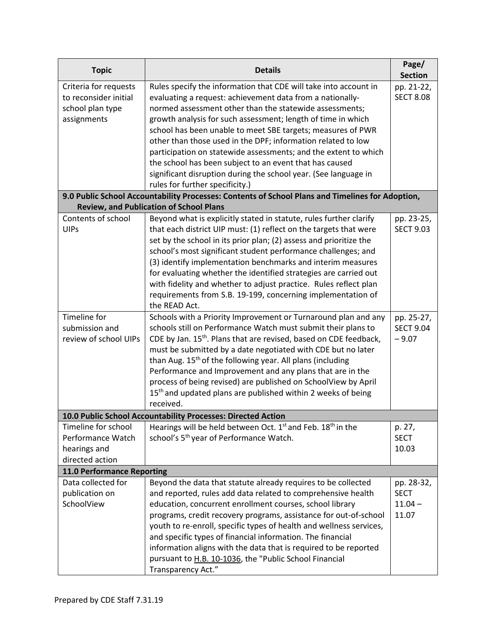| <b>Topic</b>                    | <b>Details</b>                                                                                   | Page/<br><b>Section</b> |
|---------------------------------|--------------------------------------------------------------------------------------------------|-------------------------|
| Criteria for requests           | Rules specify the information that CDE will take into account in                                 | pp. 21-22,              |
| to reconsider initial           | evaluating a request: achievement data from a nationally-                                        | <b>SECT 8.08</b>        |
| school plan type                | normed assessment other than the statewide assessments;                                          |                         |
| assignments                     | growth analysis for such assessment; length of time in which                                     |                         |
|                                 | school has been unable to meet SBE targets; measures of PWR                                      |                         |
|                                 | other than those used in the DPF; information related to low                                     |                         |
|                                 | participation on statewide assessments; and the extent to which                                  |                         |
|                                 | the school has been subject to an event that has caused                                          |                         |
|                                 | significant disruption during the school year. (See language in                                  |                         |
|                                 | rules for further specificity.)                                                                  |                         |
|                                 | 9.0 Public School Accountability Processes: Contents of School Plans and Timelines for Adoption, |                         |
|                                 | <b>Review, and Publication of School Plans</b>                                                   |                         |
| Contents of school              | Beyond what is explicitly stated in statute, rules further clarify                               | pp. 23-25,              |
| <b>UIPs</b>                     | that each district UIP must: (1) reflect on the targets that were                                | <b>SECT 9.03</b>        |
|                                 | set by the school in its prior plan; (2) assess and prioritize the                               |                         |
|                                 | school's most significant student performance challenges; and                                    |                         |
|                                 | (3) identify implementation benchmarks and interim measures                                      |                         |
|                                 | for evaluating whether the identified strategies are carried out                                 |                         |
|                                 | with fidelity and whether to adjust practice. Rules reflect plan                                 |                         |
|                                 | requirements from S.B. 19-199, concerning implementation of                                      |                         |
|                                 | the READ Act.                                                                                    |                         |
| Timeline for                    | Schools with a Priority Improvement or Turnaround plan and any                                   | pp. 25-27,              |
| submission and                  | schools still on Performance Watch must submit their plans to                                    | <b>SECT 9.04</b>        |
| review of school UIPs           | CDE by Jan. 15 <sup>th</sup> . Plans that are revised, based on CDE feedback,                    | $-9.07$                 |
|                                 | must be submitted by a date negotiated with CDE but no later                                     |                         |
|                                 | than Aug. 15 <sup>th</sup> of the following year. All plans (including                           |                         |
|                                 | Performance and Improvement and any plans that are in the                                        |                         |
|                                 | process of being revised) are published on SchoolView by April                                   |                         |
|                                 | 15 <sup>th</sup> and updated plans are published within 2 weeks of being                         |                         |
|                                 | received.                                                                                        |                         |
|                                 | 10.0 Public School Accountability Processes: Directed Action                                     |                         |
| Timeline for school             | Hearings will be held between Oct. 1 <sup>st</sup> and Feb. 18 <sup>th</sup> in the              | p. 27,                  |
| Performance Watch               | school's 5 <sup>th</sup> year of Performance Watch.                                              | <b>SECT</b><br>10.03    |
| hearings and<br>directed action |                                                                                                  |                         |
| 11.0 Performance Reporting      |                                                                                                  |                         |
| Data collected for              | Beyond the data that statute already requires to be collected                                    | pp. 28-32,              |
| publication on                  | and reported, rules add data related to comprehensive health                                     | <b>SECT</b>             |
| SchoolView                      | education, concurrent enrollment courses, school library                                         | $11.04 -$               |
|                                 | programs, credit recovery programs, assistance for out-of-school                                 | 11.07                   |
|                                 | youth to re-enroll, specific types of health and wellness services,                              |                         |
|                                 | and specific types of financial information. The financial                                       |                         |
|                                 | information aligns with the data that is required to be reported                                 |                         |
|                                 | pursuant to H.B. 10-1036, the "Public School Financial                                           |                         |
|                                 | Transparency Act."                                                                               |                         |